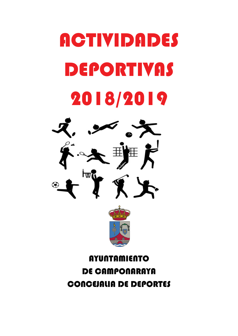# **ACTIVIDADES** DEPORTIVAS 2018/2019



# **AYUNTAMIENTO** DE CAMPONARAYA CONCEJALIA DE DEPORTES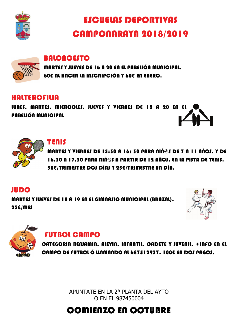

# ESCUELAS DEPORTIVAS CAMPONARAYA 2018/2019



### BALONCESTO

MARTES Y JUEVES DE 16 A 20 EN EL PABELLÓN MUNICIPAL. 60€ AL HACER LA INSCRIPCIÓN Y 60€ EN ENERO.

### HALTEROFILIA

WNES, MARTES, MIERCOLES, JUEVES Y VIERNES DE 18 A 20 EN EL PABELLÓN MUNICIPAL



### TENIS

MARTES Y VIERNES DE 15:30 A 16: 30 PARA NIÑ@S DE 7 A 11 AÑOS. Y DE 16.30 A 17.30 PARA NIÑ@S A PARTIR DE 12 AÑOS. EN LA PISTA DE TENIS. 50€/TRIMESTRE DOS DÍAS Y 25€/TRIMESTRE UN DÍA.

### JUDO

MARTES Y JUEVES DE 18 A 19 EN EL GIMNASIO MUNICIPAL (BRAZAL). 25€/MES





## FUTBOL CAMPO

CATEGORIA BENJAMIN, ALEVIN, INFANTIL, CADETE Y JUVENIL. +INFO EN EL CAMPO DE FUTBOL Ó LLAMANDO AL 687512937. I 00€ EN DOS PAGOS.

> APUNTATE EN LA 2ª PLANTA DEL AYTO O EN EL 987450004

# COMIENZO EN OCTUBRE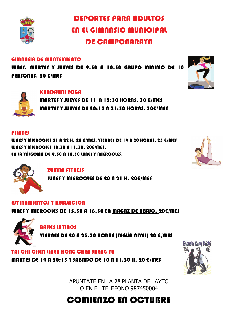

DEPORTES PARA ADULTOS EN EL GIMNASIO MUNICIPAL DE CAMPONARAYA

#### GIMNASIA DE MANTEMIENTO

LUNES, MARTES Y JUEVES DE 9.30 A 10.30 GRUPO MINIMO DE 10 PERSONAS. 20 €/MES



 MARTES Y JUEVES DE 11 A 12:30 HORAS. 30 €/MES MARTES Y JUEVES DE 20:15 A 21:30 HORAS. 30€/MES

#### PILATES

LUNES Y MIERCOLES 21 A 22 H. 20 €/MES, VIERNES DE 19 A 20 HORAS. 25 €/MES LUNES Y MIERCOLES 10.30 A 11.30. 20€/MES. EN LA VÁLGOMA DE 9.30 A 10.30 LUNES Y MIÉRCOLES.



ZUMBA FITNESS

LUNES Y MIERCOLES DE 20 A 21 H. 20€/MES

#### ESTIRAMIENTOS Y RELAJACIÓN

LUNES Y MIERCOLES DE 15.30 A 16.30 EN MAGAZ DE ABAJO. 20€/MES



### BAILES LATINOS

VIERNES DE 20 A 23.30 HORAS (SEGÚN NIVEL) 20 €/MES

#### TAI-CHI CHEN UNEA HONG CHEN SHENG YU

MARTES DE 19 A 20:15 Y SABADO DE 10 A 11.30 H. 20 €/MES



APUNTATE EN LA 2ª PLANTA DEL AYTO O EN EL TELEFONO 987450004

# COMIENZO EN OCTUBRE